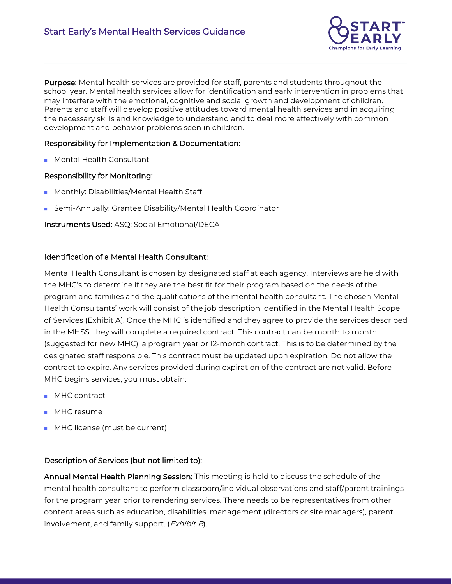

Purpose: Mental health services are provided for staff, parents and students throughout the school year. Mental health services allow for identification and early intervention in problems that may interfere with the emotional, cognitive and social growth and development of children. Parents and staff will develop positive attitudes toward mental health services and in acquiring the necessary skills and knowledge to understand and to deal more effectively with common development and behavior problems seen in children.

## Responsibility for Implementation & Documentation:

■ Mental Health Consultant

## Responsibility for Monitoring:

- Monthly: Disabilities/Mental Health Staff
- Semi-Annually: Grantee Disability/Mental Health Coordinator

Instruments Used: ASQ: Social Emotional/DECA

#### Identification of a Mental Health Consultant:

Mental Health Consultant is chosen by designated staff at each agency. Interviews are held with the MHC's to determine if they are the best fit for their program based on the needs of the program and families and the qualifications of the mental health consultant. The chosen Mental Health Consultants' work will consist of the job description identified in the Mental Health Scope of Services (Exhibit A). Once the MHC is identified and they agree to provide the services described in the MHSS, they will complete a required contract. This contract can be month to month (suggested for new MHC), a program year or 12-month contract. This is to be determined by the designated staff responsible. This contract must be updated upon expiration. Do not allow the contract to expire. Any services provided during expiration of the contract are not valid. Before MHC begins services, you must obtain:

- MHC contract
- MHC resume
- MHC license (must be current)

## Description of Services (but not limited to):

Annual Mental Health Planning Session: This meeting is held to discuss the schedule of the mental health consultant to perform classroom/individual observations and staff/parent trainings for the program year prior to rendering services. There needs to be representatives from other content areas such as education, disabilities, management (directors or site managers), parent involvement, and family support. (*Exhibit B*).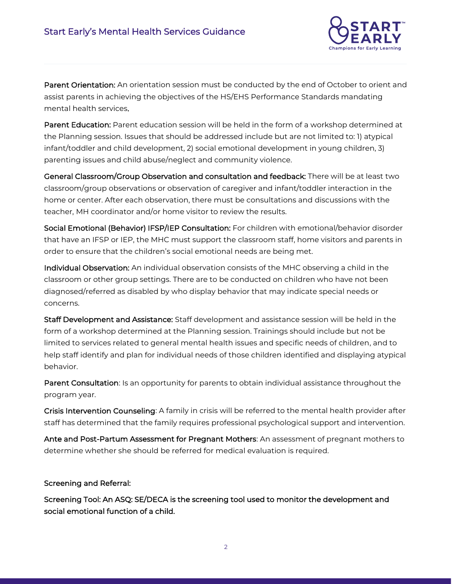

Parent Orientation: An orientation session must be conducted by the end of October to orient and assist parents in achieving the objectives of the HS/EHS Performance Standards mandating mental health services.

Parent Education: Parent education session will be held in the form of a workshop determined at the Planning session. Issues that should be addressed include but are not limited to: 1) atypical infant/toddler and child development, 2) social emotional development in young children, 3) parenting issues and child abuse/neglect and community violence.

General Classroom/Group Observation and consultation and feedback: There will be at least two classroom/group observations or observation of caregiver and infant/toddler interaction in the home or center. After each observation, there must be consultations and discussions with the teacher, MH coordinator and/or home visitor to review the results.

Social Emotional (Behavior) IFSP/IEP Consultation: For children with emotional/behavior disorder that have an IFSP or IEP, the MHC must support the classroom staff, home visitors and parents in order to ensure that the children's social emotional needs are being met.

Individual Observation: An individual observation consists of the MHC observing a child in the classroom or other group settings. There are to be conducted on children who have not been diagnosed/referred as disabled by who display behavior that may indicate special needs or concerns.

Staff Development and Assistance: Staff development and assistance session will be held in the form of a workshop determined at the Planning session. Trainings should include but not be limited to services related to general mental health issues and specific needs of children, and to help staff identify and plan for individual needs of those children identified and displaying atypical behavior.

Parent Consultation: Is an opportunity for parents to obtain individual assistance throughout the program year.

Crisis Intervention Counseling: A family in crisis will be referred to the mental health provider after staff has determined that the family requires professional psychological support and intervention.

Ante and Post-Partum Assessment for Pregnant Mothers: An assessment of pregnant mothers to determine whether she should be referred for medical evaluation is required.

## Screening and Referral:

Screening Tool: An ASQ: SE/DECA is the screening tool used to monitor the development and social emotional function of a child.